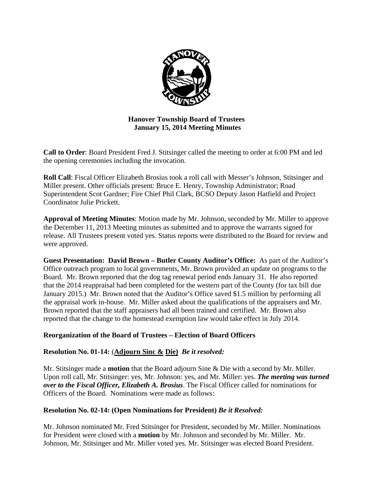

# **Hanover Township Board of Trustees January 15, 2014 Meeting Minutes**

**Call to Order**: Board President Fred J. Stitsinger called the meeting to order at 6:00 PM and led the opening ceremonies including the invocation.

**Roll Call**: Fiscal Officer Elizabeth Brosius took a roll call with Messer's Johnson, Stitsinger and Miller present. Other officials present: Bruce E. Henry, Township Administrator; Road Superintendent Scot Gardner; Fire Chief Phil Clark, BCSO Deputy Jason Hatfield and Project Coordinator Julie Prickett.

**Approval of Meeting Minutes**: Motion made by Mr. Johnson, seconded by Mr. Miller to approve the December 11, 2013 Meeting minutes as submitted and to approve the warrants signed for release. All Trustees present voted yes. Status reports were distributed to the Board for review and were approved.

**Guest Presentation: David Brown – Butler County Auditor's Office:** As part of the Auditor's Office outreach program to local governments, Mr. Brown provided an update on programs to the Board. Mr. Brown reported that the dog tag renewal period ends January 31. He also reported that the 2014 reappraisal had been completed for the western part of the County (for tax bill due January 2015.) Mr. Brown noted that the Auditor's Office saved \$1.5 million by performing all the appraisal work in-house. Mr. Miller asked about the qualifications of the appraisers and Mr. Brown reported that the staff appraisers had all been trained and certified. Mr. Brown also reported that the change to the homestead exemption law would take effect in July 2014.

# **Reorganization of the Board of Trustees – Election of Board Officers**

# **Resolution No. 01-14:** (**Adjourn Sinc & Die)** *Be it resolved:*

Mr. Stitsinger made a **motion** that the Board adjourn Sine & Die with a second by Mr. Miller. Upon roll call, Mr. Stitsinger: yes, Mr. Johnson: yes, and Mr. Miller: yes. *The meeting was turned over to the Fiscal Officer, Elizabeth A. Brosius*. The Fiscal Officer called for nominations for Officers of the Board. Nominations were made as follows:

# **Resolution No. 02-14: (Open Nominations for President)** *Be it Resolved:*

Mr. Johnson nominated Mr. Fred Stitsinger for President, seconded by Mr. Miller. Nominations for President were closed with a **motion** by Mr. Johnson and seconded by Mr. Miller. Mr. Johnson, Mr. Stitsinger and Mr. Miller voted yes. Mr. Stitsinger was elected Board President.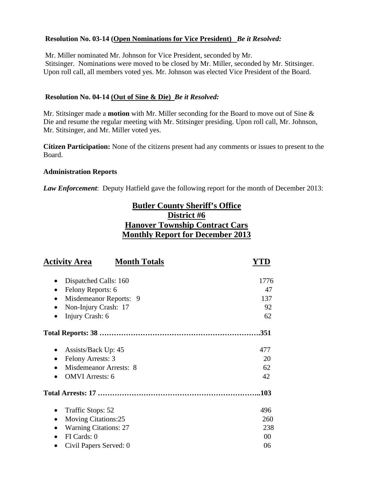### **Resolution No. 03-14 (Open Nominations for Vice President)** *Be it Resolved:*

 Mr. Miller nominated Mr. Johnson for Vice President, seconded by Mr. Stitsinger. Nominations were moved to be closed by Mr. Miller, seconded by Mr. Stitsinger. Upon roll call, all members voted yes. Mr. Johnson was elected Vice President of the Board.

#### **Resolution No. 04-14 (Out of Sine & Die)** *Be it Resolved:*

Mr. Stitsinger made a **motion** with Mr. Miller seconding for the Board to move out of Sine & Die and resume the regular meeting with Mr. Stitsinger presiding. Upon roll call, Mr. Johnson, Mr. Stitsinger, and Mr. Miller voted yes.

**Citizen Participation:** None of the citizens present had any comments or issues to present to the Board.

#### **Administration Reports**

*Law Enforcement*: Deputy Hatfield gave the following report for the month of December 2013:

# **Butler County Sheriff's Office District #6 Hanover Township Contract Cars Monthly Report for December 2013**

| <b>Activity Area</b><br><b>Month Totals</b> |      |
|---------------------------------------------|------|
| Dispatched Calls: 160                       | 1776 |
| Felony Reports: 6                           | 47   |
| Misdemeanor Reports: 9                      | 137  |
| Non-Injury Crash: 17                        | 92   |
| Injury Crash: 6                             | 62   |
|                                             | .351 |
| Assists/Back Up: 45                         | 477  |
| Felony Arrests: 3                           | 20   |
| <b>Misdemeanor Arrests: 8</b>               | 62   |
| <b>OMVI</b> Arrests: 6                      | 42   |
|                                             | .103 |
| Traffic Stops: 52                           | 496  |
| <b>Moving Citations:25</b>                  | 260  |
| <b>Warning Citations: 27</b>                | 238  |
| FI Cards: 0                                 | 00   |
| Civil Papers Served: 0                      | 06   |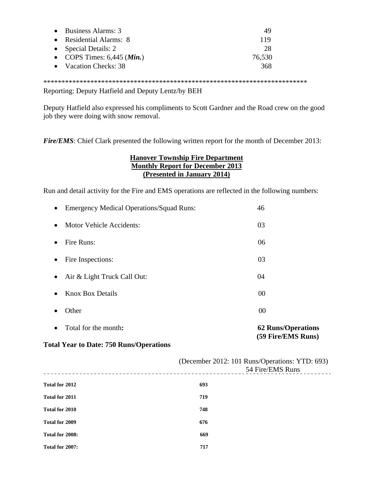| $\bullet$ Business Alarms: 3          | 49     |
|---------------------------------------|--------|
| • Residential Alarms: 8               | 119    |
| • Special Details: $2 \overline{ }$   | 28     |
| • COPS Times: $6,445$ ( <i>Min.</i> ) | 76,530 |
| • Vacation Checks: 38                 | 368    |

\*\*\*\*\*\*\*\*\*\*\*\*\*\*\*\*\*\*\*\*\*\*\*\*\*\*\*\*\*\*\*\*\*\*\*\*\*\*\*\*\*\*\*\*\*\*\*\*\*\*\*\*\*\*\*\*\*\*\*\*\*\*\*\*\*\*\*\*\*\*\*\*\*

Reporting: Deputy Hatfield and Deputy Lentz/by BEH

Deputy Hatfield also expressed his compliments to Scott Gardner and the Road crew on the good job they were doing with snow removal.

*Fire/EMS*: Chief Clark presented the following written report for the month of December 2013:

#### **Hanover Township Fire Department Monthly Report for December 2013 (Presented in January 2014)**

Run and detail activity for the Fire and EMS operations are reflected in the following numbers:

| $\bullet$ | Total for the month:                            | <b>62 Runs/Operations</b><br>(59 Fire/EMS Runs) |
|-----------|-------------------------------------------------|-------------------------------------------------|
|           | Other                                           | 00                                              |
| $\bullet$ | <b>Knox Box Details</b>                         | 00                                              |
| $\bullet$ | Air & Light Truck Call Out:                     | 04                                              |
| $\bullet$ | Fire Inspections:                               | 03                                              |
| $\bullet$ | Fire Runs:                                      | 06                                              |
| $\bullet$ | <b>Motor Vehicle Accidents:</b>                 | 03                                              |
| $\bullet$ | <b>Emergency Medical Operations/Squad Runs:</b> | 46                                              |

#### **Total Year to Date: 750 Runs/Operations**

|                 | (December 2012: 101 Runs/Operations: YTD: 693)<br>54 Fire/EMS Runs |  |  |
|-----------------|--------------------------------------------------------------------|--|--|
| Total for 2012  | 693                                                                |  |  |
| Total for 2011  | 719                                                                |  |  |
| Total for 2010  | 748                                                                |  |  |
| Total for 2009  | 676                                                                |  |  |
| Total for 2008: | 669                                                                |  |  |
| Total for 2007: | 717                                                                |  |  |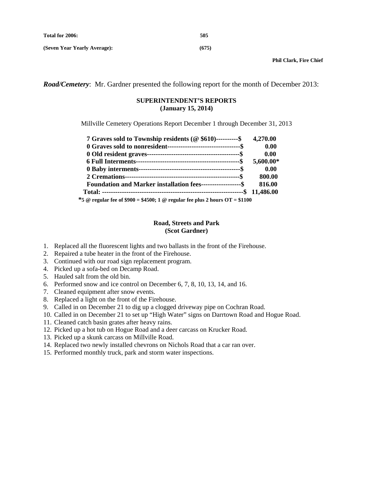**(Seven Year Yearly Average): (675)** 

*Road/Cemetery*: Mr. Gardner presented the following report for the month of December 2013:

#### **SUPERINTENDENT'S REPORTS (January 15, 2014)**

Millville Cemetery Operations Report December 1 through December 31, 2013

| 7 Graves sold to Township residents (@\\$610)----------\$ 4,270.00                                                                                                                                                |           |
|-------------------------------------------------------------------------------------------------------------------------------------------------------------------------------------------------------------------|-----------|
|                                                                                                                                                                                                                   | 0.00      |
|                                                                                                                                                                                                                   | 0.00      |
|                                                                                                                                                                                                                   | 5,600.00* |
|                                                                                                                                                                                                                   | 0.00      |
|                                                                                                                                                                                                                   | 800.00    |
| <b>Foundation and Marker installation fees-------------------\$</b>                                                                                                                                               | 816.00    |
|                                                                                                                                                                                                                   |           |
| $* \epsilon \otimes$ require $\epsilon_{0.05}$ $\epsilon$ $\epsilon$ 000 = $\epsilon$ 4500. 1 $\otimes$ require $\epsilon_{0.01}$ $\epsilon_{1.01}$ $\epsilon$ $\epsilon$ $\epsilon$ $\Delta T$ = $\epsilon$ 1100 |           |

 **\*5 @ regular fee of \$900 = \$4500; 1 @ regular fee plus 2 hours OT = \$1100** 

#### **Road, Streets and Park (Scot Gardner)**

- 1. Replaced all the fluorescent lights and two ballasts in the front of the Firehouse.
- 2. Repaired a tube heater in the front of the Firehouse.
- 3. Continued with our road sign replacement program.
- 4. Picked up a sofa-bed on Decamp Road.
- 5. Hauled salt from the old bin.
- 6. Performed snow and ice control on December 6, 7, 8, 10, 13, 14, and 16.
- 7. Cleaned equipment after snow events.
- 8. Replaced a light on the front of the Firehouse.
- 9. Called in on December 21 to dig up a clogged driveway pipe on Cochran Road.
- 10. Called in on December 21 to set up "High Water" signs on Darrtown Road and Hogue Road.
- 11. Cleaned catch basin grates after heavy rains.
- 12. Picked up a hot tub on Hogue Road and a deer carcass on Krucker Road.
- 13. Picked up a skunk carcass on Millville Road.
- 14. Replaced two newly installed chevrons on Nichols Road that a car ran over.
- 15. Performed monthly truck, park and storm water inspections.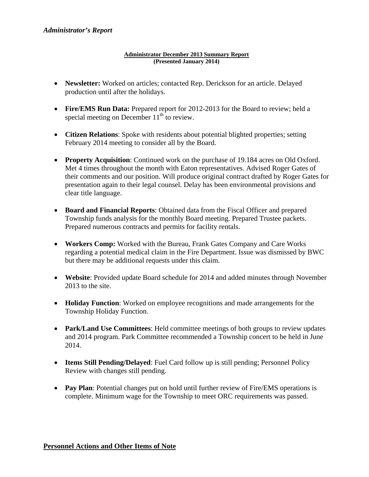#### **Administrator December 2013 Summary Report (Presented January 2014)**

- **Newsletter:** Worked on articles; contacted Rep. Derickson for an article. Delayed production until after the holidays.
- Fire/EMS Run Data: Prepared report for 2012-2013 for the Board to review; held a special meeting on December  $11<sup>th</sup>$  to review.
- **Citizen Relations**: Spoke with residents about potential blighted properties; setting February 2014 meeting to consider all by the Board.
- **Property Acquisition**: Continued work on the purchase of 19.184 acres on Old Oxford. Met 4 times throughout the month with Eaton representatives. Advised Roger Gates of their comments and our position. Will produce original contract drafted by Roger Gates for presentation again to their legal counsel. Delay has been environmental provisions and clear title language.
- **Board and Financial Reports**: Obtained data from the Fiscal Officer and prepared Township funds analysis for the monthly Board meeting. Prepared Trustee packets. Prepared numerous contracts and permits for facility rentals.
- **Workers Comp:** Worked with the Bureau, Frank Gates Company and Care Works regarding a potential medical claim in the Fire Department. Issue was dismissed by BWC but there may be additional requests under this claim.
- **Website**: Provided update Board schedule for 2014 and added minutes through November 2013 to the site.
- **Holiday Function**: Worked on employee recognitions and made arrangements for the Township Holiday Function.
- **Park/Land Use Committees**: Held committee meetings of both groups to review updates and 2014 program. Park Committee recommended a Township concert to be held in June 2014.
- **Items Still Pending/Delayed**: Fuel Card follow up is still pending; Personnel Policy Review with changes still pending.
- **Pay Plan**: Potential changes put on hold until further review of Fire/EMS operations is complete. Minimum wage for the Township to meet ORC requirements was passed.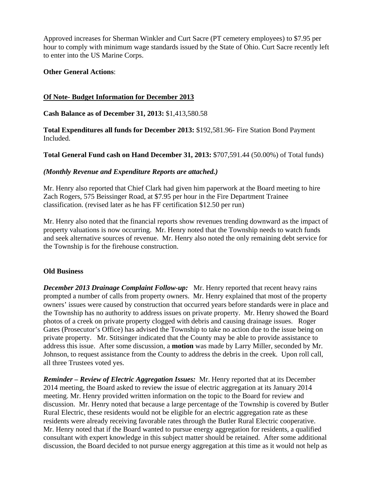Approved increases for Sherman Winkler and Curt Sacre (PT cemetery employees) to \$7.95 per hour to comply with minimum wage standards issued by the State of Ohio. Curt Sacre recently left to enter into the US Marine Corps.

#### **Other General Actions**:

#### **Of Note- Budget Information for December 2013**

**Cash Balance as of December 31, 2013:** \$1,413,580.58

**Total Expenditures all funds for December 2013:** \$192,581.96- Fire Station Bond Payment Included.

**Total General Fund cash on Hand December 31, 2013:** \$707,591.44 (50.00%) of Total funds)

#### *(Monthly Revenue and Expenditure Reports are attached.)*

Mr. Henry also reported that Chief Clark had given him paperwork at the Board meeting to hire Zach Rogers, 575 Beissinger Road, at \$7.95 per hour in the Fire Department Trainee classification. (revised later as he has FF certification \$12.50 per run)

Mr. Henry also noted that the financial reports show revenues trending downward as the impact of property valuations is now occurring. Mr. Henry noted that the Township needs to watch funds and seek alternative sources of revenue. Mr. Henry also noted the only remaining debt service for the Township is for the firehouse construction.

#### **Old Business**

*December 2013 Drainage Complaint Follow-up:* Mr. Henry reported that recent heavy rains prompted a number of calls from property owners. Mr. Henry explained that most of the property owners' issues were caused by construction that occurred years before standards were in place and the Township has no authority to address issues on private property. Mr. Henry showed the Board photos of a creek on private property clogged with debris and causing drainage issues. Roger Gates (Prosecutor's Office) has advised the Township to take no action due to the issue being on private property. Mr. Stitsinger indicated that the County may be able to provide assistance to address this issue. After some discussion, a **motion** was made by Larry Miller, seconded by Mr. Johnson, to request assistance from the County to address the debris in the creek. Upon roll call, all three Trustees voted yes.

*Reminder – Review of Electric Aggregation Issues:* Mr. Henry reported that at its December 2014 meeting, the Board asked to review the issue of electric aggregation at its January 2014 meeting. Mr. Henry provided written information on the topic to the Board for review and discussion. Mr. Henry noted that because a large percentage of the Township is covered by Butler Rural Electric, these residents would not be eligible for an electric aggregation rate as these residents were already receiving favorable rates through the Butler Rural Electric cooperative. Mr. Henry noted that if the Board wanted to pursue energy aggregation for residents, a qualified consultant with expert knowledge in this subject matter should be retained. After some additional discussion, the Board decided to not pursue energy aggregation at this time as it would not help as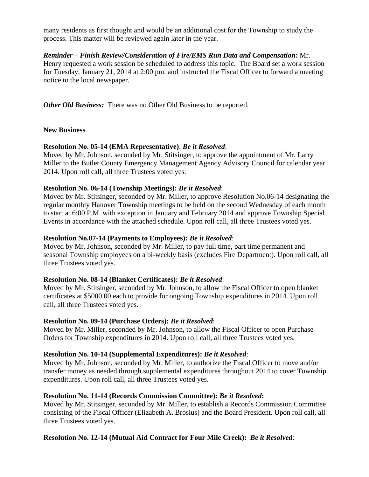many residents as first thought and would be an additional cost for the Township to study the process. This matter will be reviewed again later in the year.

#### *Reminder – Finish Review/Consideration of Fire/EMS Run Data and Compensation:* Mr.

Henry requested a work session be scheduled to address this topic. The Board set a work session for Tuesday, January 21, 2014 at 2:00 pm. and instructed the Fiscal Officer to forward a meeting notice to the local newspaper.

*Other Old Business:* There was no Other Old Business to be reported.

#### **New Business**

#### **Resolution No. 05-14 (EMA Representative)**: *Be it Resolved*:

Moved by Mr. Johnson, seconded by Mr. Stitsinger, to approve the appointment of Mr. Larry Miller to the Butler County Emergency Management Agency Advisory Council for calendar year 2014. Upon roll call, all three Trustees voted yes.

#### **Resolution No. 06-14 (Township Meetings):** *Be it Resolved*:

Moved by Mr. Stitsinger, seconded by Mr. Miller, to approve Resolution No.06-14 designating the regular monthly Hanover Township meetings to be held on the second Wednesday of each month to start at 6:00 P.M. with exception in January and February 2014 and approve Township Special Events in accordance with the attached schedule. Upon roll call, all three Trustees voted yes.

#### **Resolution No.07-14 (Payments to Employees):** *Be it Resolved*:

Moved by Mr. Johnson, seconded by Mr. Miller, to pay full time, part time permanent and seasonal Township employees on a bi-weekly basis (excludes Fire Department). Upon roll call, all three Trustees voted yes.

# **Resolution No. 08-14 (Blanket Certificates):** *Be it Resolved*:

Moved by Mr. Stitsinger, seconded by Mr. Johnson, to allow the Fiscal Officer to open blanket certificates at \$5000.00 each to provide for ongoing Township expenditures in 2014. Upon roll call, all three Trustees voted yes.

#### **Resolution No. 09-14 (Purchase Orders):** *Be it Resolved*:

Moved by Mr. Miller, seconded by Mr. Johnson, to allow the Fiscal Officer to open Purchase Orders for Township expenditures in 2014. Upon roll call, all three Trustees voted yes.

# **Resolution No. 10-14 (Supplemental Expenditures):** *Be it Resolved*:

Moved by Mr. Johnson, seconded by Mr. Miller, to authorize the Fiscal Officer to move and/or transfer money as needed through supplemental expenditures throughout 2014 to cover Township expenditures. Upon roll call, all three Trustees voted yes.

# **Resolution No. 11-14 (Records Commission Committee):** *Be it Resolved***:**

Moved by Mr. Stitsinger, seconded by Mr. Miller, to establish a Records Commission Committee consisting of the Fiscal Officer (Elizabeth A. Brosius) and the Board President. Upon roll call, all three Trustees voted yes.

# **Resolution No. 12-14 (Mutual Aid Contract for Four Mile Creek):** *Be it Resolved*: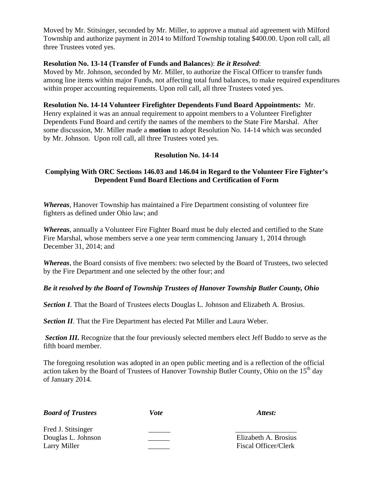Moved by Mr. Stitsinger, seconded by Mr. Miller, to approve a mutual aid agreement with Milford Township and authorize payment in 2014 to Milford Township totaling \$400.00. Upon roll call, all three Trustees voted yes.

#### **Resolution No. 13-14 (Transfer of Funds and Balances**): *Be it Resolved*:

Moved by Mr. Johnson, seconded by Mr. Miller, to authorize the Fiscal Officer to transfer funds among line items within major Funds, not affecting total fund balances, to make required expenditures within proper accounting requirements. Upon roll call, all three Trustees voted yes.

#### **Resolution No. 14-14 Volunteer Firefighter Dependents Fund Board Appointments:** Mr.

Henry explained it was an annual requirement to appoint members to a Volunteer Firefighter Dependents Fund Board and certify the names of the members to the State Fire Marshal. After some discussion, Mr. Miller made a **motion** to adopt Resolution No. 14-14 which was seconded by Mr. Johnson. Upon roll call, all three Trustees voted yes.

#### **Resolution No. 14-14**

### **Complying With ORC Sections 146.03 and 146.04 in Regard to the Volunteer Fire Fighter's Dependent Fund Board Elections and Certification of Form**

*Whereas*, Hanover Township has maintained a Fire Department consisting of volunteer fire fighters as defined under Ohio law; and

*Whereas*, annually a Volunteer Fire Fighter Board must be duly elected and certified to the State Fire Marshal, whose members serve a one year term commencing January 1, 2014 through December 31, 2014; and

*Whereas*, the Board consists of five members: two selected by the Board of Trustees, two selected by the Fire Department and one selected by the other four; and

#### *Be it resolved by the Board of Township Trustees of Hanover Township Butler County, Ohio*

**Section I**. That the Board of Trustees elects Douglas L. Johnson and Elizabeth A. Brosius.

**Section II**. That the Fire Department has elected Pat Miller and Laura Weber.

**Section III.** Recognize that the four previously selected members elect Jeff Buddo to serve as the fifth board member.

The foregoing resolution was adopted in an open public meeting and is a reflection of the official action taken by the Board of Trustees of Hanover Township Butler County, Ohio on the 15<sup>th</sup> day of January 2014.

| <b>Board of Trustees</b> | Vote | Attest: |
|--------------------------|------|---------|
|--------------------------|------|---------|

Fred J. Stitsinger Douglas L. Johnson \_\_\_\_\_\_ Elizabeth A. Brosius Larry Miller **Example 2** Fiscal Officer/Clerk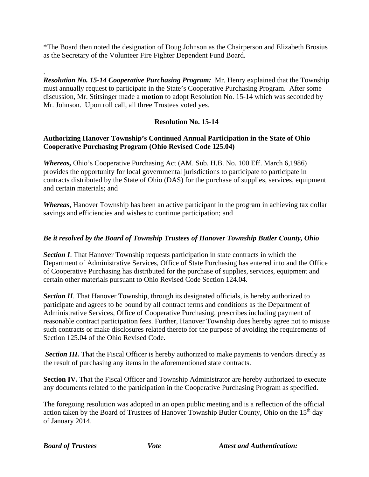\*The Board then noted the designation of Doug Johnson as the Chairperson and Elizabeth Brosius as the Secretary of the Volunteer Fire Fighter Dependent Fund Board.

. *Resolution No. 15-14 Cooperative Purchasing Program:* Mr. Henry explained that the Township must annually request to participate in the State's Cooperative Purchasing Program. After some discussion, Mr. Stitsinger made a **motion** to adopt Resolution No. 15-14 which was seconded by Mr. Johnson. Upon roll call, all three Trustees voted yes.

# **Resolution No. 15-14**

### **Authorizing Hanover Township's Continued Annual Participation in the State of Ohio Cooperative Purchasing Program (Ohio Revised Code 125.04)**

*Whereas,* Ohio's Cooperative Purchasing Act (AM. Sub. H.B. No. 100 Eff. March 6,1986) provides the opportunity for local governmental jurisdictions to participate to participate in contracts distributed by the State of Ohio (DAS) for the purchase of supplies, services, equipment and certain materials; and

*Whereas*, Hanover Township has been an active participant in the program in achieving tax dollar savings and efficiencies and wishes to continue participation; and

# *Be it resolved by the Board of Township Trustees of Hanover Township Butler County, Ohio*

**Section I**. That Hanover Township requests participation in state contracts in which the Department of Administrative Services, Office of State Purchasing has entered into and the Office of Cooperative Purchasing has distributed for the purchase of supplies, services, equipment and certain other materials pursuant to Ohio Revised Code Section 124.04.

**Section II**. That Hanover Township, through its designated officials, is hereby authorized to participate and agrees to be bound by all contract terms and conditions as the Department of Administrative Services, Office of Cooperative Purchasing, prescribes including payment of reasonable contract participation fees. Further, Hanover Township does hereby agree not to misuse such contracts or make disclosures related thereto for the purpose of avoiding the requirements of Section 125.04 of the Ohio Revised Code.

**Section III.** That the Fiscal Officer is hereby authorized to make payments to vendors directly as the result of purchasing any items in the aforementioned state contracts.

**Section IV.** That the Fiscal Officer and Township Administrator are hereby authorized to execute any documents related to the participation in the Cooperative Purchasing Program as specified.

The foregoing resolution was adopted in an open public meeting and is a reflection of the official action taken by the Board of Trustees of Hanover Township Butler County, Ohio on the  $15<sup>th</sup>$  day of January 2014.

*Board of Trustees* Vote Attest and Authentication: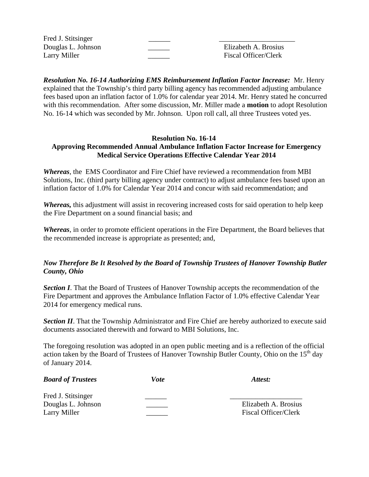Fred J. Stitsinger

Douglas L. Johnson \_\_\_\_\_\_ Elizabeth A. Brosius Larry Miller **Example 2** Fiscal Officer/Clerk

*Resolution No. 16-14 Authorizing EMS Reimbursement Inflation Factor Increase:* Mr. Henry explained that the Township's third party billing agency has recommended adjusting ambulance fees based upon an inflation factor of 1.0% for calendar year 2014. Mr. Henry stated he concurred with this recommendation. After some discussion, Mr. Miller made a **motion** to adopt Resolution No. 16-14 which was seconded by Mr. Johnson. Upon roll call, all three Trustees voted yes.

#### **Resolution No. 16-14 Approving Recommended Annual Ambulance Inflation Factor Increase for Emergency Medical Service Operations Effective Calendar Year 2014**

*Whereas*, the EMS Coordinator and Fire Chief have reviewed a recommendation from MBI Solutions, Inc. (third party billing agency under contract) to adjust ambulance fees based upon an inflation factor of 1.0% for Calendar Year 2014 and concur with said recommendation; and

*Whereas,* this adjustment will assist in recovering increased costs for said operation to help keep the Fire Department on a sound financial basis; and

*Whereas*, in order to promote efficient operations in the Fire Department, the Board believes that the recommended increase is appropriate as presented; and,

# *Now Therefore Be It Resolved by the Board of Township Trustees of Hanover Township Butler County, Ohio*

**Section I**. That the Board of Trustees of Hanover Township accepts the recommendation of the Fire Department and approves the Ambulance Inflation Factor of 1.0% effective Calendar Year 2014 for emergency medical runs.

**Section II**. That the Township Administrator and Fire Chief are hereby authorized to execute said documents associated therewith and forward to MBI Solutions, Inc.

The foregoing resolution was adopted in an open public meeting and is a reflection of the official action taken by the Board of Trustees of Hanover Township Butler County, Ohio on the  $15<sup>th</sup>$  day of January 2014.

| <b>Board of Trustees</b> | Vote | Attest:                     |
|--------------------------|------|-----------------------------|
| Fred J. Stitsinger       |      |                             |
| Douglas L. Johnson       |      | Elizabeth A. Brosius        |
| Larry Miller             |      | <b>Fiscal Officer/Clerk</b> |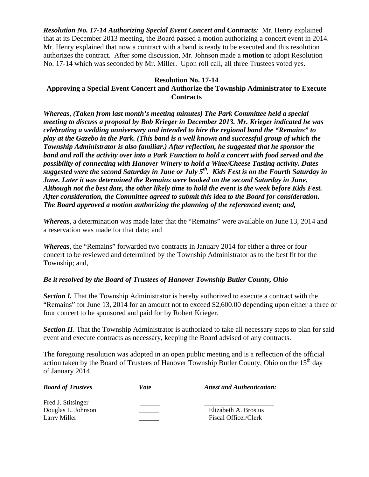*Resolution No. 17-14 Authorizing Special Event Concert and Contracts:* Mr. Henry explained that at its December 2013 meeting, the Board passed a motion authorizing a concert event in 2014. Mr. Henry explained that now a contract with a band is ready to be executed and this resolution authorizes the contract. After some discussion, Mr. Johnson made a **motion** to adopt Resolution No. 17-14 which was seconded by Mr. Miller. Upon roll call, all three Trustees voted yes.

#### **Resolution No. 17-14**

# **Approving a Special Event Concert and Authorize the Township Administrator to Execute Contracts**

*Whereas*, *(Taken from last month's meeting minutes) The Park Committee held a special meeting to discuss a proposal by Bob Krieger in December 2013. Mr. Krieger indicated he was celebrating a wedding anniversary and intended to hire the regional band the "Remains" to play at the Gazebo in the Park. (This band is a well known and successful group of which the Township Administrator is also familiar.) After reflection, he suggested that he sponsor the band and roll the activity over into a Park Function to hold a concert with food served and the possibility of connecting with Hanover Winery to hold a Wine/Cheese Tasting activity. Dates suggested were the second Saturday in June or July 5th. Kids Fest is on the Fourth Saturday in June. Later it was determined the Remains were booked on the second Saturday in June. Although not the best date, the other likely time to hold the event is the week before Kids Fest. After consideration, the Committee agreed to submit this idea to the Board for consideration. The Board approved a motion authorizing the planning of the referenced event; and,* 

*Whereas*, a determination was made later that the "Remains" were available on June 13, 2014 and a reservation was made for that date; and

*Whereas*, the "Remains" forwarded two contracts in January 2014 for either a three or four concert to be reviewed and determined by the Township Administrator as to the best fit for the Township; and,

# *Be it resolved by the Board of Trustees of Hanover Township Butler County, Ohio*

**Section I.** That the Township Administrator is hereby authorized to execute a contract with the "Remains" for June 13, 2014 for an amount not to exceed \$2,600.00 depending upon either a three or four concert to be sponsored and paid for by Robert Krieger.

**Section II**. That the Township Administrator is authorized to take all necessary steps to plan for said event and execute contracts as necessary, keeping the Board advised of any contracts.

The foregoing resolution was adopted in an open public meeting and is a reflection of the official action taken by the Board of Trustees of Hanover Township Butler County, Ohio on the 15<sup>th</sup> day of January 2014.

| <b>Board of Trustees</b>                                 | Vote | <b>Attest and Authentication:</b>            |
|----------------------------------------------------------|------|----------------------------------------------|
| Fred J. Stitsinger<br>Douglas L. Johnson<br>Larry Miller |      | Elizabeth A. Brosius<br>Fiscal Officer/Clerk |
|                                                          |      |                                              |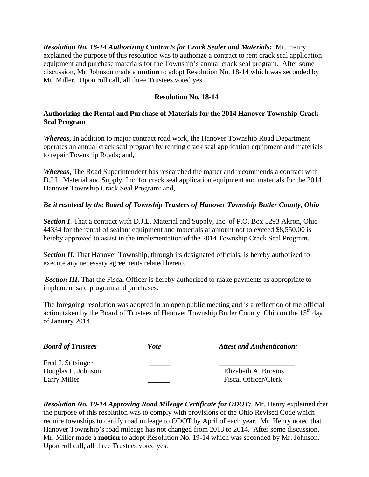*Resolution No. 18-14 Authorizing Contracts for Crack Sealer and Materials:* Mr. Henry explained the purpose of this resolution was to authorize a contract to rent crack seal application equipment and purchase materials for the Township's annual crack seal program. After some discussion, Mr. Johnson made a **motion** to adopt Resolution No. 18-14 which was seconded by Mr. Miller. Upon roll call, all three Trustees voted yes.

### **Resolution No. 18-14**

# **Authorizing the Rental and Purchase of Materials for the 2014 Hanover Township Crack Seal Program**

*Whereas,* In addition to major contract road work, the Hanover Township Road Department operates an annual crack seal program by renting crack seal application equipment and materials to repair Township Roads; and,

*Whereas*, The Road Superintendent has researched the matter and recommends a contract with D.J.L. Material and Supply, Inc. for crack seal application equipment and materials for the 2014 Hanover Township Crack Seal Program: and,

# *Be it resolved by the Board of Township Trustees of Hanover Township Butler County, Ohio*

**Section I**. That a contract with D.J.L. Material and Supply, Inc. of P.O. Box 5293 Akron, Ohio 44334 for the rental of sealant equipment and materials at amount not to exceed \$8,550.00 is hereby approved to assist in the implementation of the 2014 Township Crack Seal Program.

**Section II**. That Hanover Township, through its designated officials, is hereby authorized to execute any necessary agreements related hereto.

**Section III.** That the Fiscal Officer is hereby authorized to make payments as appropriate to implement said program and purchases.

The foregoing resolution was adopted in an open public meeting and is a reflection of the official action taken by the Board of Trustees of Hanover Township Butler County, Ohio on the 15<sup>th</sup> day of January 2014.

| <b>Board of Trustees</b> | Vote | <b>Attest and Authentication:</b> |
|--------------------------|------|-----------------------------------|
| Fred J. Stitsinger       |      |                                   |
| Douglas L. Johnson       |      | Elizabeth A. Brosius              |
| Larry Miller             |      | <b>Fiscal Officer/Clerk</b>       |

*Resolution No. 19-14 Approving Road Mileage Certificate for ODOT:* Mr. Henry explained that the purpose of this resolution was to comply with provisions of the Ohio Revised Code which require townships to certify road mileage to ODOT by April of each year. Mr. Henry noted that Hanover Township's road mileage has not changed from 2013 to 2014. After some discussion, Mr. Miller made a **motion** to adopt Resolution No. 19-14 which was seconded by Mr. Johnson. Upon roll call, all three Trustees voted yes.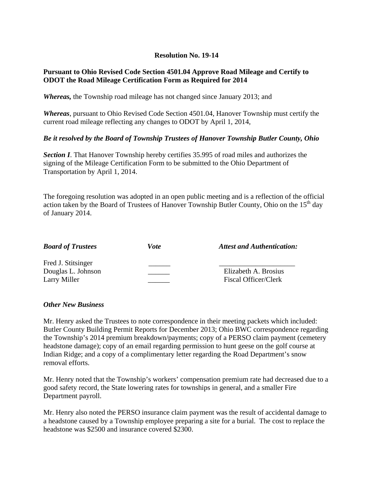### **Resolution No. 19-14**

### **Pursuant to Ohio Revised Code Section 4501.04 Approve Road Mileage and Certify to ODOT the Road Mileage Certification Form as Required for 2014**

*Whereas,* the Township road mileage has not changed since January 2013; and

*Whereas*, pursuant to Ohio Revised Code Section 4501.04, Hanover Township must certify the current road mileage reflecting any changes to ODOT by April 1, 2014,

#### *Be it resolved by the Board of Township Trustees of Hanover Township Butler County, Ohio*

**Section I**. That Hanover Township hereby certifies 35.995 of road miles and authorizes the signing of the Mileage Certification Form to be submitted to the Ohio Department of Transportation by April 1, 2014.

The foregoing resolution was adopted in an open public meeting and is a reflection of the official action taken by the Board of Trustees of Hanover Township Butler County, Ohio on the  $15<sup>th</sup>$  day of January 2014.

| <b>Board of Trustees</b> | Vote | <b>Attest and Authentication:</b> |
|--------------------------|------|-----------------------------------|
| Fred J. Stitsinger       |      |                                   |
| Douglas L. Johnson       |      | Elizabeth A. Brosius              |
| Larry Miller             |      | Fiscal Officer/Clerk              |

#### *Other New Business*

Mr. Henry asked the Trustees to note correspondence in their meeting packets which included: Butler County Building Permit Reports for December 2013; Ohio BWC correspondence regarding the Township's 2014 premium breakdown/payments; copy of a PERSO claim payment (cemetery headstone damage); copy of an email regarding permission to hunt geese on the golf course at Indian Ridge; and a copy of a complimentary letter regarding the Road Department's snow removal efforts.

Mr. Henry noted that the Township's workers' compensation premium rate had decreased due to a good safety record, the State lowering rates for townships in general, and a smaller Fire Department payroll.

Mr. Henry also noted the PERSO insurance claim payment was the result of accidental damage to a headstone caused by a Township employee preparing a site for a burial. The cost to replace the headstone was \$2500 and insurance covered \$2300.